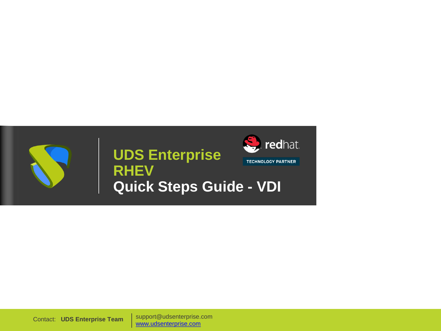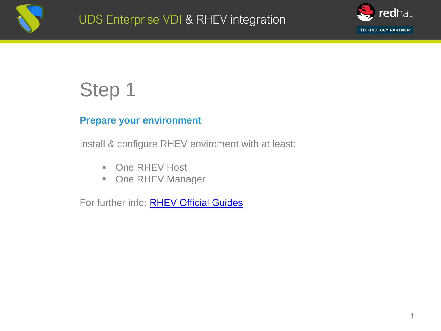



#### **Prepare your environment**

Install & configure RHEV enviroment with at least:

- One RHEV Host
- One RHEV Manager

For further info: **RHEV Official Guides**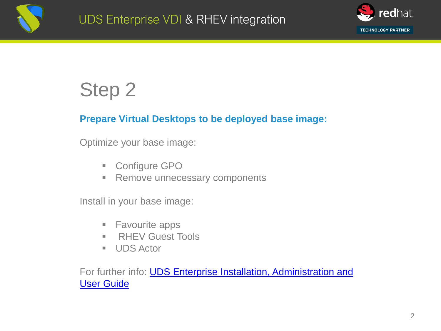



#### **Prepare Virtual Desktops to be deployed base image:**

Optimize your base image:

- Configure GPO
- Remove unnecessary components

Install in your base image:

- Favourite apps
- RHEV Guest Tools
- UDS Actor

For further info: **UDS Enterprise Installation, Administration and** User Guide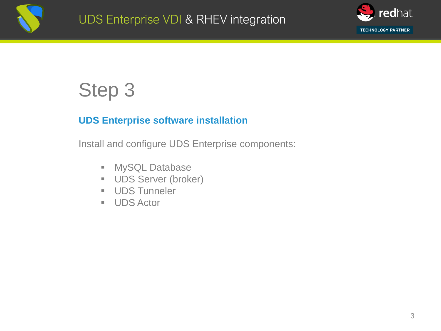



#### **UDS Enterprise software installation**

Install and configure UDS Enterprise components:

- MySQL Database
- **UDS Server (broker)**
- UDS Tunneler
- UDS Actor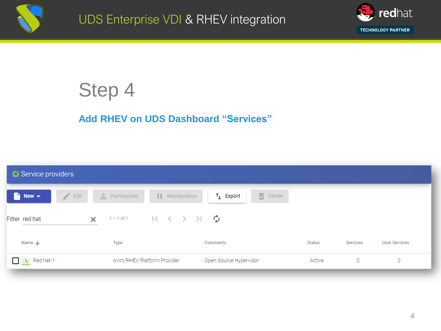



### **Add RHEV on UDS Dashboard "Services"**

| Service providers                      |                                                                                |                                      |        |          |                      |
|----------------------------------------|--------------------------------------------------------------------------------|--------------------------------------|--------|----------|----------------------|
| $\rightarrow$ Edit<br>n<br>New $\star$ | e Permissions<br>    Maintenance                                               | <b>面</b> Delete<br>$\uparrow$ Export |        |          |                      |
| Filter red hat<br>$\times$             | 1-1of1 $\vert \langle \langle \rangle \rangle \rangle$ $\vert \langle \rangle$ |                                      |        |          |                      |
| Name $\downarrow$                      | <b>Type</b>                                                                    | Comments                             | Status | Services | <b>User Services</b> |
| $\Box$ ov Red hat-1                    | oVirt/RHEV Platform Provider                                                   | Open Source Hypervisor               | Active | 0        | 0                    |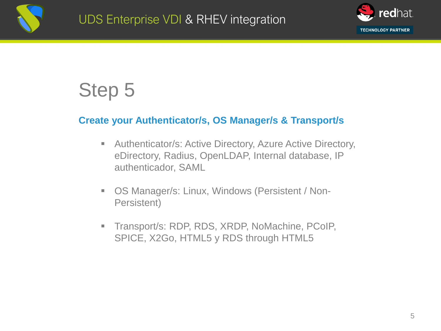

#### **Create your Authenticator/s, OS Manager/s & Transport/s**

- Authenticator/s: Active Directory, Azure Active Directory, eDirectory, Radius, OpenLDAP, Internal database, IP authenticador, SAML
- OS Manager/s: Linux, Windows (Persistent / Non-Persistent)
- Transport/s: RDP, RDS, XRDP, NoMachine, PCoIP, SPICE, X2Go, HTML5 y RDS through HTML5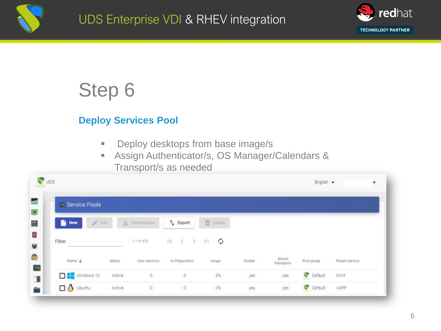



### **Deploy Services Pool**

- Deploy desktops from base image/s
- Assign Authenticator/s, OS Manager/Calendars & Transport/s as needed

| Service Pools          |        |               |                                                                                                     |          |         |                     |            |                |
|------------------------|--------|---------------|-----------------------------------------------------------------------------------------------------|----------|---------|---------------------|------------|----------------|
| New<br>1               | Edit   | & Permissions | $t_1$ Export                                                                                        | 百 Delete |         |                     |            |                |
| Filter                 |        | $1 - 8$ of 8  | $\begin{array}{ccccccc}\n\vert\langle & \rangle & \langle & \rangle & \rangle & \rangle\end{array}$ | ¢        |         |                     |            |                |
| Name +                 | Status | User services | In Preparation                                                                                      | Usage    | Visible | Shows<br>transports | Pool group | Parent service |
| Windows 10             | Active | O             | 0                                                                                                   | 0%       | yes     | yes                 | Default    | OVirt          |
| $\Box$ $\Delta$ Ubuntu | Active | $\mathbb O$   | 0                                                                                                   | $0\%$    | yes     | yes                 | Default    | VAPP           |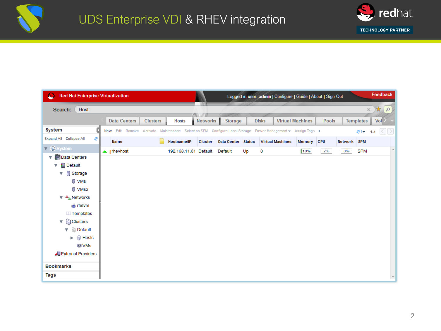



| <b>Red Hat Enterprise Virtualization</b><br>C |                                                                                                             |                 |                       |                 |                    |               |              | Logged in user: admin   Configure   Guide   About   Sign Out |                         |              |         |                  | Feedback              |
|-----------------------------------------------|-------------------------------------------------------------------------------------------------------------|-----------------|-----------------------|-----------------|--------------------|---------------|--------------|--------------------------------------------------------------|-------------------------|--------------|---------|------------------|-----------------------|
| Host:<br>Search:                              |                                                                                                             |                 |                       |                 |                    |               |              |                                                              |                         |              |         |                  | $\varphi$<br>$\times$ |
|                                               | <b>Data Centers</b>                                                                                         | <b>Clusters</b> | <b>Hosts</b>          | <b>Networks</b> | <b>Storage</b>     |               | <b>Disks</b> |                                                              | <b>Virtual Machines</b> | <b>Pools</b> |         | <b>Templates</b> | Vol                   |
| <b>System</b><br>п                            | New Edit Remove Activate Maintenance Select as SPM Configure Local Storage Power Management v Assign Tags ▶ |                 |                       |                 |                    |               |              |                                                              |                         |              |         | -اچ              | 1-1 $\leq$ $\geq$     |
| Expand All Collapse All<br>æ                  | Name                                                                                                        |                 | Hostname/IP           | Cluster         | <b>Data Center</b> | <b>Status</b> |              | <b>Virtual Machines</b>                                      | Memory                  | <b>CPU</b>   | Network | <b>SPM</b>       |                       |
| ▼ <b>O</b> System                             | $\triangle$ ! rhevhost                                                                                      |                 | 192.168.11.61 Default |                 | Default            | Up            | 0            |                                                              | 10%                     | 2%           | 0%      | <b>SPM</b>       | ×.                    |
| Data Centers<br>v                             |                                                                                                             |                 |                       |                 |                    |               |              |                                                              |                         |              |         |                  |                       |
| <b>B</b> Default<br>v                         |                                                                                                             |                 |                       |                 |                    |               |              |                                                              |                         |              |         |                  |                       |
| Storage<br>▼                                  |                                                                                                             |                 |                       |                 |                    |               |              |                                                              |                         |              |         |                  |                       |
| <b>O</b> VMs                                  |                                                                                                             |                 |                       |                 |                    |               |              |                                                              |                         |              |         |                  |                       |
| <b>J</b> VMs2                                 |                                                                                                             |                 |                       |                 |                    |               |              |                                                              |                         |              |         |                  |                       |
| Networks<br>▼                                 |                                                                                                             |                 |                       |                 |                    |               |              |                                                              |                         |              |         |                  |                       |
| $\frac{1}{2}$ rhevm                           |                                                                                                             |                 |                       |                 |                    |               |              |                                                              |                         |              |         |                  |                       |
| Templates                                     |                                                                                                             |                 |                       |                 |                    |               |              |                                                              |                         |              |         |                  |                       |
| Clusters<br>v                                 |                                                                                                             |                 |                       |                 |                    |               |              |                                                              |                         |              |         |                  |                       |
| <b>B</b> Default<br>▼                         |                                                                                                             |                 |                       |                 |                    |               |              |                                                              |                         |              |         |                  |                       |
| <b>Hosts</b><br>▶                             |                                                                                                             |                 |                       |                 |                    |               |              |                                                              |                         |              |         |                  |                       |
| $\blacksquare$ VMs                            |                                                                                                             |                 |                       |                 |                    |               |              |                                                              |                         |              |         |                  |                       |
| External Providers                            |                                                                                                             |                 |                       |                 |                    |               |              |                                                              |                         |              |         |                  |                       |
| <b>Bookmarks</b>                              |                                                                                                             |                 |                       |                 |                    |               |              |                                                              |                         |              |         |                  |                       |
| Tags                                          |                                                                                                             |                 |                       |                 |                    |               |              |                                                              |                         |              |         |                  |                       |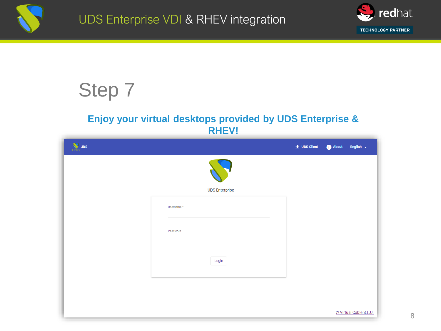



#### **Enjoy your virtual desktops provided by UDS Enterprise & RHEV!**

| <b>W</b> UDS |                       | $\bullet$ UDS Client | About<br>English $\sim$ |
|--------------|-----------------------|----------------------|-------------------------|
|              |                       |                      |                         |
|              | <b>UDS Enterprise</b> |                      |                         |
|              | Username*             |                      |                         |
|              | Password              |                      |                         |
|              |                       |                      |                         |
|              | Login                 |                      |                         |
|              |                       |                      |                         |
|              |                       |                      | © Virtual Cable S.L.U.  |